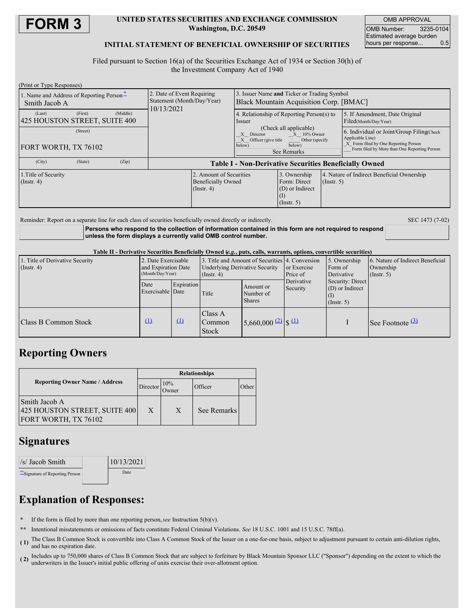

## **UNITED STATES SECURITIES AND EXCHANGE COMMISSION Washington, D.C. 20549**

OMB APPROVAL OMB Number: 3235-0104 Estimated average burden hours per response... 0.5

## **INITIAL STATEMENT OF BENEFICIAL OWNERSHIP OF SECURITIES**

Filed pursuant to Section 16(a) of the Securities Exchange Act of 1934 or Section 30(h) of the Investment Company Act of 1940

| (Print or Type Responses)                                      |                                                                          |                                                                                                                                        |                                                                       |                  |                                                                                                                                                       |
|----------------------------------------------------------------|--------------------------------------------------------------------------|----------------------------------------------------------------------------------------------------------------------------------------|-----------------------------------------------------------------------|------------------|-------------------------------------------------------------------------------------------------------------------------------------------------------|
| 1. Name and Address of Reporting Person-<br>Smith Jacob A      | 2. Date of Event Requiring<br>Statement (Month/Day/Year)<br>10/13/2021   | 3. Issuer Name and Ticker or Trading Symbol<br>Black Mountain Acquisition Corp. [BMAC]                                                 |                                                                       |                  |                                                                                                                                                       |
| (Middle)<br>(First)<br>(Last)<br>425 HOUSTON STREET, SUITE 400 |                                                                          | 4. Relationship of Reporting Person(s) to<br><i>ssuer</i>                                                                              |                                                                       |                  | 5. If Amendment, Date Original<br>Filed(Month/Day/Year)                                                                                               |
| (Street)<br>FORT WORTH, TX 76102                               |                                                                          | (Check all applicable)<br>$X = 10\%$ Owner<br>X Director<br>X Officer (give title<br>Other (specify<br>below)<br>below)<br>See Remarks |                                                                       |                  | 6. Individual or Joint/Group Filing Check<br>Applicable Line)<br>X Form filed by One Reporting Person<br>Form filed by More than One Reporting Person |
| (City)<br>(Zip)<br>(State)                                     | <b>Table I - Non-Derivative Securities Beneficially Owned</b>            |                                                                                                                                        |                                                                       |                  |                                                                                                                                                       |
| 1. Title of Security<br>$($ Instr. 4 $)$                       | 2. Amount of Securities<br><b>Beneficially Owned</b><br>$($ Instr. 4 $)$ |                                                                                                                                        | 3. Ownership<br>Form: Direct<br>$(D)$ or Indirect<br>$($ Instr. 5 $)$ | $($ Instr. 5 $)$ | 4. Nature of Indirect Beneficial Ownership                                                                                                            |

Reminder: Report on a separate line for each class of securities beneficially owned directly or indirectly. SEC 1473 (7-02)

**Persons who respond to the collection of information contained in this form are not required to respond unless the form displays a currently valid OMB control number.**

Table II - Derivative Securities Beneficially Owned (e.g., puts, calls, warrants, options, convertible securities)

| 1. Title of Derivative Security<br>$($ Instr. 4 $)$ | 2. Date Exercisable<br>and Expiration Date<br>(Month/Day/Year) |            | 3. Title and Amount of Securities 4. Conversion<br><b>Underlying Derivative Security</b><br>$($ Instr. 4 $)$ |                                                     | or Exercise<br>Price of                                                        | 5. Ownership<br>Form of<br>Derivative | 6. Nature of Indirect Beneficial<br>Ownership<br>$($ Instr. 5 $)$ |
|-----------------------------------------------------|----------------------------------------------------------------|------------|--------------------------------------------------------------------------------------------------------------|-----------------------------------------------------|--------------------------------------------------------------------------------|---------------------------------------|-------------------------------------------------------------------|
|                                                     | Date<br>Exercisable Date                                       | Expiration | Title                                                                                                        | Amount or<br>Number of<br><b>Shares</b>             | Derivative<br>Security: Direct<br>$(D)$ or Indirect<br>Security<br>(Insert. 5) |                                       |                                                                   |
| <b>Class B Common Stock</b>                         | $\Omega$                                                       | $\Omega$   | Class A<br>Common<br><b>Stock</b>                                                                            | $5,660,000$ $(2)$ $\left  \frac{\Omega}{2} \right $ |                                                                                |                                       | See Footnote $\frac{(3)}{2}$                                      |

## **Reporting Owners**

|                                                                        | <b>Relationships</b> |              |             |       |  |
|------------------------------------------------------------------------|----------------------|--------------|-------------|-------|--|
| <b>Reporting Owner Name / Address</b>                                  | Director             | 10%<br>Owner | Officer     | Other |  |
| Smith Jacob A<br>425 HOUSTON STREET, SUITE 400<br>FORT WORTH, TX 76102 | X                    | X            | See Remarks |       |  |

# **Signatures**

| $\frac{ }{s} $ Jacob Smith       | 10/13/2021 |  |
|----------------------------------|------------|--|
| ** Signature of Reporting Person | Date       |  |

# **Explanation of Responses:**

- **\*** If the form is filed by more than one reporting person,*see* Instruction 5(b)(v).
- **\*\*** Intentional misstatements or omissions of facts constitute Federal Criminal Violations. *See* 18 U.S.C. 1001 and 15 U.S.C. 78ff(a).
- **( 1)** The Class B Common Stock is convertible into Class A Common Stock of the Issuer on a one-for-one basis, subject to adjustment pursuant to certain anti-dilution rights, and has no expiration date.
- **( 2)** Includes up to 750,000 shares of Class B Common Stock that are subject to forfeiture by Black Mountain Sponsor LLC ("Sponsor") depending on the extent to which the underwriters in the Issuer's initial public offering of units exercise their over-allotment option.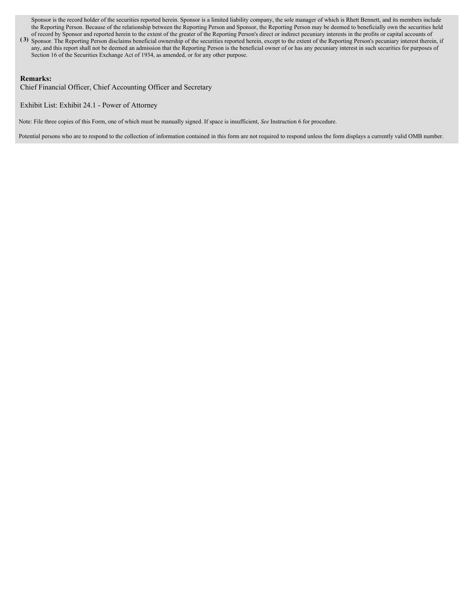Sponsor is the record holder of the securities reported herein. Sponsor is a limited liability company, the sole manager of which is Rhett Bennett, and its members include the Reporting Person. Because of the relationship between the Reporting Person and Sponsor, the Reporting Person may be deemed to beneficially own the securities held of record by Sponsor and reported herein to the extent of the greater of the Reporting Person's direct or indirect pecuniary interests in the profits or capital accounts of

**( 3)** Sponsor. The Reporting Person disclaims beneficial ownership of the securities reported herein, except to the extent of the Reporting Person's pecuniary interest therein, if any, and this report shall not be deemed an admission that the Reporting Person is the beneficial owner of or has any pecuniary interest in such securities for purposes of Section 16 of the Securities Exchange Act of 1934, as amended, or for any other purpose.

### **Remarks:**

Chief Financial Officer, Chief Accounting Officer and Secretary

Exhibit List: Exhibit 24.1 - Power of Attorney

Note: File three copies of this Form, one of which must be manually signed. If space is insufficient, *See* Instruction 6 for procedure.

Potential persons who are to respond to the collection of information contained in this form are not required to respond unless the form displays a currently valid OMB number.